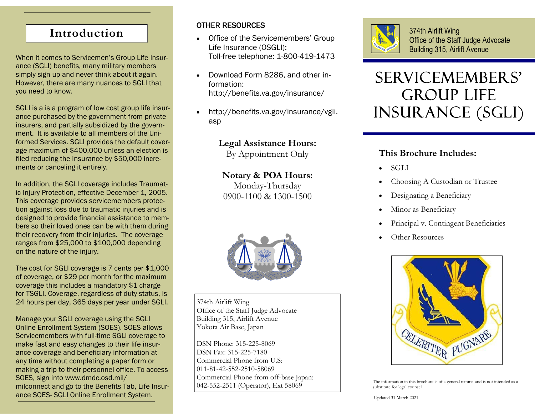## **Introduction**

When it comes to Servicemen's Group Life Insurance (SGLI) benefits, many military members simply sign up and never think about it again. However, there are many nuances to SGLI that you need to know.

SGLI is a is a program of low cost group life insurance purchased by the government from private insurers, and partially subsidized by the government. It is available to all members of the Uniformed Services. SGLI provides the default coverage maximum of \$400,000 unless an election is filed reducing the insurance by \$50,000 increments or canceling it entirely.

In addition, the SGLI coverage includes Traumatic Injury Protection, effective December 1, 2005. This coverage provides servicemembers protection against loss due to traumatic injuries and is designed to provide financial assistance to members so their loved ones can be with them during their recovery from their injuries. The coverage ranges from \$25,000 to \$100,000 depending on the nature of the injury.

The cost for SGLI coverage is 7 cents per \$1,000 of coverage, or \$29 per month for the maximum coverage this includes a mandatory \$1 charge for TSGLI. Coverage, regardless of duty status, is 24 hours per day, 365 days per year under SGLI.

Manage your SGLI coverage using the SGLI Online Enrollment System (SOES). SOES allows Servicemembers with full-time SGLI coverage to make fast and easy changes to their life insurance coverage and beneficiary information at any time without completing a paper form or making a trip to their personnel office. To access SOES, sign into www.dmdc.osd.mil/ milconnect and go to the Benefits Tab, Life Insurance SOES- SGLI Online Enrollment System.

### OTHER RESOURCES

- $\bullet$  Office of the Servicemembers' Group Life Insurance (OSGLI): Toll-free telephone: 1-800-419-1473
- $\bullet$  Download Form 8286, and other information: http://benefits.va.gov/insurance/
- $\bullet$  http://benefits.va.gov/insurance/vgli. asp

**Legal Assistance Hours:**  By Appointment Only

**Notary & POA Hours:**  Monday-Thursday 0900-1100 & 1300-1500



374th Airlift Wing Office of the Staff Judge Advocate Building 315, Airlift Avenue Yokota Air Base, Japan

DSN Phone: 315-225-8069 DSN Fax: 315-225-7180 Commercial Phone from U.S: 011-81-42-552-2510-58069 Commercial Phone from off-base Japan: 042-552-2511 (Operator), Ext 58069



374th Airlift Wing Office of the Staff Judge Advocate Building 315, Airlift Avenue

# Servicemembers' Group Life Insurance (SGLI)

## **This Brochure Includes:**

- $\bullet$ **SGLI**
- $\bullet$ Choosing A Custodian or Trustee
- $\bullet$ Designating a Beneficiary
- $\bullet$ Minor as Beneficiary
- $\bullet$ Principal v. Contingent Beneficiaries
- $\bullet$ Other Resources



The information in this brochure is of a general nature and is not intended as a substitute for legal counsel.